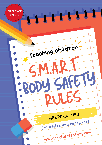BODY SAFETY RULES HELPFUL TIPS for adults and caregivers [www.circlesofsafety.com](https://www.circlesofsafety.com/)

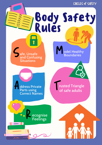CIRCLES OF SAFETY

afe, Unsafe<br>and Confusing **Situations** 

CO

odel Healthy **Boundaries** 

**Body Safety**<br>Rules

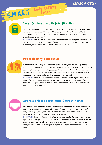#### Safe, Confused and UnSafe Situations

The most commonly used terms to describe touch seem to be good and bad touch- but usually these touches don't hurt or feel bad. Using terms like 'bad' touch, add to the confusion and shame the child may already experience, especially when a known and trusted adult may be the offender.

HELPFUL TIP: Ensure your child knows that these rules apply to everyone. Tell them, "No one is allowed to make you feel uncomfortable, even if that person is your cousin, uncle, aunt or neighbour. It's never O.K., and I will always believe you."



# Model Healthy Boundaries

When children tell us they don't want to hug and kiss everyone at a family gathering, support them by helping them find another way to show respect to family members (such as shaking hands, high fives, saying goodbye). When we seek the child's permission, they get a sense of control over their body. It also helps the child realize that a predator will not ask permission, and it will help them spot those tricky people.

HELPFUL TIP: Encourage children to treat others with respect and dignity. "Just like it is not OK for you to hit and hurt other people, it is not OK for you to use tricks or force to touch other people in a way that makes them uncomfortable. You must respect others' feelings and their boundaries."



#### Address Private Parts using Correct Names

Kids need to understand that no one is allowed to touch their private parts, look at their private parts or talk to them about private parts. Ensure you use the correct names of body parts- vagina, vulva, penis, breasts, testicles. If someone teaches your child a fun made-up name for their private parts, you will be alerted.

HELPFUL TIP: Keep your language simple and age-appropriate: "Mommy is washing your eyes, ears and your penis. Your body is special and it belongs to you. If anyone makes you uncomfortable, you can tell me or another safe grownup right away because our job is to keep you safe. Remember, bathing, toileting and sleeping are activities to be done in private."

S.M.A.R.T

Body Safety

Rules

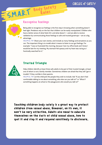#### Recognise Feelings

Being able to recognise our feelings is the first step in knowing when something doesn't feel right. Predators rely on the fact that children can be easily manipulated. Children who have a better sense of what feels O.K. and what doesn't — and are able to receive validation by communicating those feelings to safe and trusted grownups — are at a big advantage.

HELPFUL TIP: Share your own stories, and include as many feelings and sensations as you can. The important thing is to model what it means to listen to our gut feelings. For example: "I was so frustrated this morning, because I lost my office book and I knew I would be late for my meeting. My stomach felt queazy and my heart was racing as I frantically searched for it."



## Trusted Triangle

Help children identify at least three safe adults to be part of their trusted triangle, at least one of whom is not a family member. Sometimes children are afraid that they will "get in trouble" if they confide in their parents.

HELPFUL TIP: Let the child pick the people they wish to include. Ask "If you don't feel

comfortable talking to me about something, who else can you talk to?" or "What if something happens at school or the playground, who would you talk to?"

S.M.A.R.T

Body Safety

Rules

Teaching children body safety is a great way to protect children from sexual abuse. However, on its own, it won't be very effective. Adults also need to educate themselves on the facts of child sexual abuse, how to spot it and stop it and respond sensitively to disclosure.

## circles of Safety